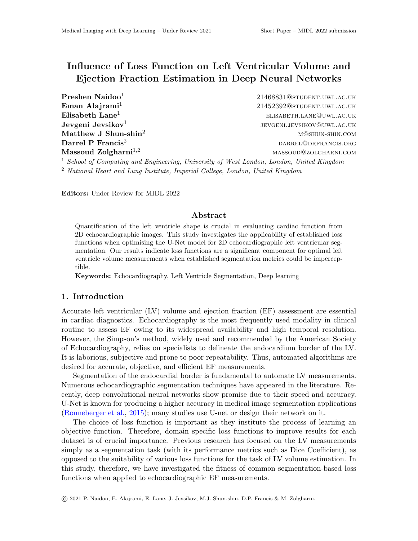# Influence of Loss Function on Left Ventricular Volume and Ejection Fraction Estimation in Deep Neural Networks

**Preshen Naidoo**<sup>1</sup> 21468831@student.uwl.ac.uk Jevgeni Jevsikov $1$ 

Eman Alajrami<sup>1</sup> 21452392@student.uwL.ac.uk  $\mathbf{E}$ lisabeth Lane<sup>1</sup> elisabeth.lane@uwl.ac.uk jevgeni.jevsikov@uwl.ac.uk Matthew J Shun-shin<sup>2</sup> matthew J Shun-shin.com Darrel P Francis<sup>2</sup> data and the set of the contract of the deterministic part of the deterministic order of the contract of the deterministic order of the deterministic order of the deterministic order of the deterministi Massoud Zolgharni<sup>1,2</sup> massoud Zolgharni<sup>1,2</sup> massoud@zolgharni.com

<sup>1</sup> School of Computing and Engineering, University of West London, London, United Kingdom <sup>2</sup> National Heart and Lung Institute, Imperial College, London, United Kingdom

Editors: Under Review for MIDL 2022

## Abstract

Quantification of the left ventricle shape is crucial in evaluating cardiac function from 2D echocardiographic images. This study investigates the applicability of established loss functions when optimising the U-Net model for 2D echocardiographic left ventricular segmentation. Our results indicate loss functions are a significant component for optimal left ventricle volume measurements when established segmentation metrics could be imperceptible.

Keywords: Echocardiography, Left Ventricle Segmentation, Deep learning

# 1. Introduction

Accurate left ventricular (LV) volume and ejection fraction (EF) assessment are essential in cardiac diagnostics. Echocardiography is the most frequently used modality in clinical routine to assess EF owing to its widespread availability and high temporal resolution. However, the Simpson's method, widely used and recommended by the American Society of Echocardiography, relies on specialists to delineate the endocardium border of the LV. It is laborious, subjective and prone to poor repeatability. Thus, automated algorithms are desired for accurate, objective, and efficient EF measurements.

Segmentation of the endocardial border is fundamental to automate LV measurements. Numerous echocardiographic segmentation techniques have appeared in the literature. Recently, deep convolutional neural networks show promise due to their speed and accuracy. U-Net is known for producing a higher accuracy in medical image segmentation applications [\(Ronneberger et al.,](#page-2-0) [2015\)](#page-2-0); many studies use U-net or design their network on it.

The choice of loss function is important as they institute the process of learning an objective function. Therefore, domain specific loss functions to improve results for each dataset is of crucial importance. Previous research has focused on the LV measurements simply as a segmentation task (with its performance metrics such as Dice Coefficient), as opposed to the suitability of various loss functions for the task of LV volume estimation. In this study, therefore, we have investigated the fitness of common segmentation-based loss functions when applied to echocardiographic EF measurements.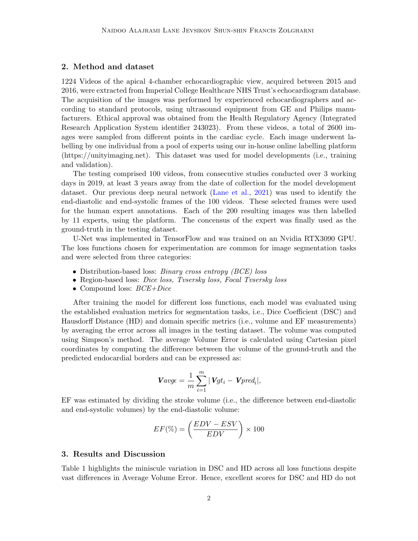#### 2. Method and dataset

1224 Videos of the apical 4-chamber echocardiographic view, acquired between 2015 and 2016, were extracted from Imperial College Healthcare NHS Trust's echocardiogram database. The acquisition of the images was performed by experienced echocardiographers and according to standard protocols, using ultrasound equipment from GE and Philips manufacturers. Ethical approval was obtained from the Health Regulatory Agency (Integrated Research Application System identifier 243023). From these videos, a total of 2600 images were sampled from different points in the cardiac cycle. Each image underwent labelling by one individual from a pool of experts using our in-house online labelling platform (https://unityimaging.net). This dataset was used for model developments (i.e., training and validation).

The testing comprised 100 videos, from consecutive studies conducted over 3 working days in 2019, at least 3 years away from the date of collection for the model development dataset. Our previous deep neural network [\(Lane et al.,](#page-2-1) [2021\)](#page-2-1) was used to identify the end-diastolic and end-systolic frames of the 100 videos. These selected frames were used for the human expert annotations. Each of the 200 resulting images was then labelled by 11 experts, using the platform. The concensus of the expert was finally used as the ground-truth in the testing dataset.

U-Net was implemented in TensorFlow and was trained on an Nvidia RTX3090 GPU. The loss functions chosen for experimentation are common for image segmentation tasks and were selected from three categories:

- Distribution-based loss: *Binary cross entropy (BCE) loss*
- Region-based loss: *Dice loss, Tvsersky loss, Focal Tvsersky loss*
- Compound loss:  $BCE+Dice$

After training the model for different loss functions, each model was evaluated using the established evaluation metrics for segmentation tasks, i.e., Dice Coefficient (DSC) and Hausdorff Distance (HD) and domain specific metrics (i.e., volume and EF measurements) by averaging the error across all images in the testing dataset. The volume was computed using Simpson's method. The average Volume Error is calculated using Cartesian pixel coordinates by computing the difference between the volume of the ground-truth and the predicted endocardial borders and can be expressed as:

$$
V \text{avg}\epsilon = \frac{1}{m} \sum_{i=1}^{m} |Vgt_i - Vpred_i|,
$$

EF was estimated by dividing the stroke volume (i.e., the difference between end-diastolic and end-systolic volumes) by the end-diastolic volume:

$$
EF(\%) = \left(\frac{EDV - ESV}{EDV}\right) \times 100
$$

#### 3. Results and Discussion

Table 1 highlights the miniscule variation in DSC and HD across all loss functions despite vast differences in Average Volume Error. Hence, excellent scores for DSC and HD do not